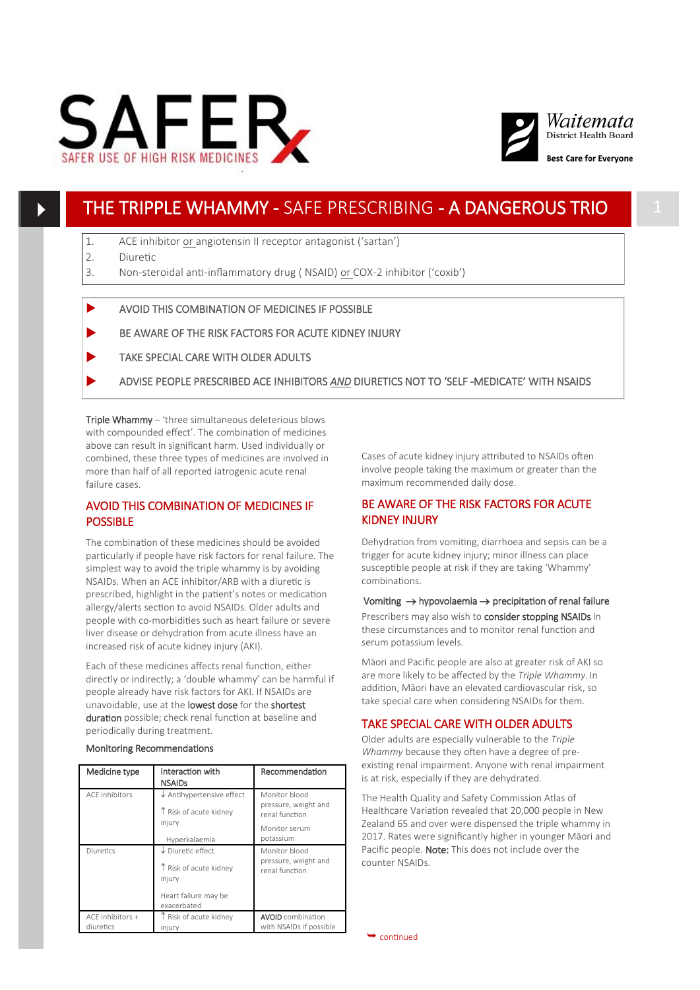



# THE TRIPPLE WHAMMY - SAFE PRESCRIBING - A DANGEROUS TRIO 1

- 1. ACE inhibitor or angiotensin II receptor antagonist ('sartan')
- 2. Diuretic
- 3. Non-steroidal anti-inflammatory drug ( NSAID) or COX-2 inhibitor ('coxib')
- AVOID THIS COMBINATION OF MEDICINES IF POSSIBLE
- BE AWARE OF THE RISK FACTORS FOR ACUTE KIDNEY INJURY
- TAKE SPECIAL CARE WITH OLDER ADULTS
- ADVISE PEOPLE PRESCRIBED ACE INHIBITORS *AND* DIURETICS NOT TO 'SELF -MEDICATE' WITH NSAIDS

Triple Whammy – 'three simultaneous deleterious blows with compounded effect'. The combination of medicines above can result in significant harm. Used individually or combined, these three types of medicines are involved in more than half of all reported iatrogenic acute renal failure cases.

# AVOID THIS COMBINATION OF MEDICINES IF POSSIBLE

The combination of these medicines should be avoided particularly if people have risk factors for renal failure. The simplest way to avoid the triple whammy is by avoiding NSAIDs. When an ACE inhibitor/ARB with a diuretic is prescribed, highlight in the patient's notes or medication allergy/alerts section to avoid NSAIDs. Older adults and people with co-morbidities such as heart failure or severe liver disease or dehydration from acute illness have an increased risk of acute kidney injury (AKI).

Each of these medicines affects renal function, either directly or indirectly; a 'double whammy' can be harmful if people already have risk factors for AKI. If NSAIDs are unavoidable, use at the lowest dose for the shortest duration possible; check renal function at baseline and periodically during treatment.

#### Monitoring Recommendations

| Medicine type                   | Interaction with<br><b>NSAIDs</b>                                                                       | Recommendation                                                                        |
|---------------------------------|---------------------------------------------------------------------------------------------------------|---------------------------------------------------------------------------------------|
| <b>ACF</b> inhibitors           | $\downarrow$ Antihypertensive effect<br>T Risk of acute kidney<br>injury<br>Hyperkalaemia               | Monitor blood<br>pressure, weight and<br>renal function<br>Monitor serum<br>potassium |
| Diuretics                       | $\downarrow$ Diuretic effect<br>↑ Risk of acute kidney<br>injury<br>Heart failure may be<br>exacerbated | Monitor blood<br>pressure, weight and<br>renal function                               |
| $ACF$ inhibitors +<br>diuretics | T Risk of acute kidney<br>injury                                                                        | <b>AVOID</b> combination<br>with NSAIDs if possible                                   |

Cases of acute kidney injury attributed to NSAIDs often involve people taking the maximum or greater than the maximum recommended daily dose.

# BE AWARE OF THE RISK FACTORS FOR ACUTE KIDNEY INJURY

Dehydration from vomiting, diarrhoea and sepsis can be a trigger for acute kidney injury; minor illness can place susceptible people at risk if they are taking 'Whammy' combinations.

Vomiting  $\rightarrow$  hypovolaemia  $\rightarrow$  precipitation of renal failure Prescribers may also wish to consider stopping NSAIDs in these circumstances and to monitor renal function and serum potassium levels.

Māori and Pacific people are also at greater risk of AKI so are more likely to be affected by the *Triple Whammy.* In addition, Māori have an elevated cardiovascular risk, so take special care when considering NSAIDs for them.

## TAKE SPECIAL CARE WITH OLDER ADULTS

Older adults are especially vulnerable to the *Triple Whammy* because they often have a degree of preexisting renal impairment. Anyone with renal impairment is at risk, especially if they are dehydrated.

The Health Quality and Safety Commission Atlas of Healthcare Variation revealed that 20,000 people in New Zealand 65 and over were dispensed the triple whammy in 2017. Rates were significantly higher in younger Māori and Pacific people. Note: This does not include over the counter NSAIDs.

 $\rightarrow$  continued